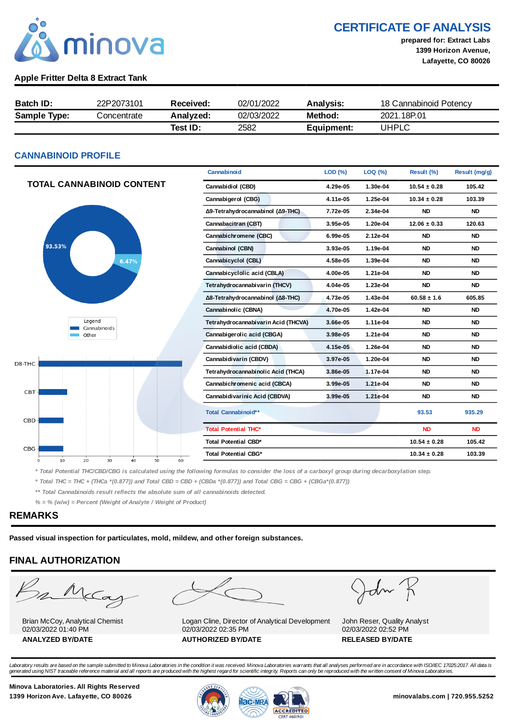

CERTIFICATE OF ANALYSIS

prepared for: Extract Labs 1399 Horizon Avenue, Lafayette, CO 80026

### Apple Fritter Delta 8 Extract Tank

| <b>Batch ID:</b>    | 22P2073101  | Received: | 02/01/2022 | <b>Analysis:</b> | 18 Cannabinoid Potency |
|---------------------|-------------|-----------|------------|------------------|------------------------|
| <b>Sample Type:</b> | Concentrate | Analyzed: | 02/03/2022 | Method:          | 2021.18P.01            |
|                     |             | Test ID:  | 2582       | Equipment:       | UHPLC                  |

### CANNABINOID PROFILE

|                                                       | Cannabinoid                         | LOD (%)  | LOQ (%)  | Result (%)       | Result (mg/g) |
|-------------------------------------------------------|-------------------------------------|----------|----------|------------------|---------------|
| <b>TOTAL CANNABINOID CONTENT</b>                      | Cannabidiol (CBD)                   | 4.29e-05 | 1.30e-04 | $10.54 \pm 0.28$ | 105.42        |
|                                                       | Cannabigerol (CBG)                  | 4.11e-05 | 1.25e-04 | $10.34 \pm 0.28$ | 103.39        |
|                                                       | Δ9-Tetrahydrocannabinol (Δ9-THC)    | 7.72e-05 | 2.34e-04 | <b>ND</b>        | <b>ND</b>     |
|                                                       | Cannabacitran (CBT)                 | 3.95e-05 | 1.20e-04 | $12.06 \pm 0.33$ | 120.63        |
|                                                       | Cannabichromene (CBC)               | 6.99e-05 | 2.12e-04 | <b>ND</b>        | <b>ND</b>     |
| 93.53%                                                | Cannabinol (CBN)                    | 3.93e-05 | 1.19e-04 | <b>ND</b>        | <b>ND</b>     |
| 6.47%                                                 | Cannabicyclol (CBL)                 | 4.58e-05 | 1.39e-04 | <b>ND</b>        | <b>ND</b>     |
|                                                       | Cannabicyclolic acid (CBLA)         | 4.00e-05 | 1.21e-04 | <b>ND</b>        | <b>ND</b>     |
|                                                       | Tetrahydrocannabivarin (THCV)       | 4.04e-05 | 1.23e-04 | <b>ND</b>        | <b>ND</b>     |
|                                                       | Δ8-Tetrahydrocannabinol (Δ8-THC)    | 4.73e-05 | 1.43e-04 | $60.58 \pm 1.6$  | 605.85        |
|                                                       | Cannabinolic (CBNA)                 | 4.70e-05 | 1.42e-04 | <b>ND</b>        | <b>ND</b>     |
| Legend<br>Cannabinoids                                | Tetrahydrocannabivarin Acid (THCVA) | 3.66e-05 | 1.11e-04 | <b>ND</b>        | <b>ND</b>     |
| Other                                                 | Cannabigerolic acid (CBGA)          | 3.98e-05 | 1.21e-04 | <b>ND</b>        | <b>ND</b>     |
|                                                       | Cannabidiolic acid (CBDA)           | 4.15e-05 | 1.26e-04 | <b>ND</b>        | <b>ND</b>     |
| D8-THC-                                               | Cannabidivarin (CBDV)               | 3.97e-05 | 1.20e-04 | <b>ND</b>        | <b>ND</b>     |
|                                                       | Tetrahydrocannabinolic Acid (THCA)  | 3.86e-05 | 1.17e-04 | <b>ND</b>        | <b>ND</b>     |
|                                                       | Cannabichromenic acid (CBCA)        | 3.99e-05 | 1.21e-04 | <b>ND</b>        | <b>ND</b>     |
| CBT-                                                  | Cannabidivarinic Acid (CBDVA)       | 3.99e-05 | 1.21e-04 | <b>ND</b>        | <b>ND</b>     |
| $CBD -$                                               | Total Cannabinoid**                 |          |          | 93.53            | 935.29        |
|                                                       | <b>Total Potential THC*</b>         |          |          | <b>ND</b>        | <b>ND</b>     |
|                                                       | Total Potential CBD*                |          |          | $10.54 \pm 0.28$ | 105.42        |
| CBG -<br>20<br>30<br>40<br>50<br>60<br>10<br>$\Omega$ | <b>Total Potential CBG*</b>         |          |          | $10.34 \pm 0.28$ | 103.39        |

\* Total Potential THC/CBD/CBG is calculated using the following formulas to consider the loss of a carboxyl group during decarboxylation step.

\* Total THC = THC + (THCa \*(0.877)) and Total CBD = CBD + (CBDa \*(0.877)) and Total CBG = CBG + (CBGa\*(0.877))

\*\* Total Cannabinoids result reflects the absolute sum of all cannabinoids detected.

 $% =$  % (w/w) = Percent (Weight of Analyte / Weight of Product)

### REMARKS

Passed visual inspection for particulates, mold, mildew, and other foreign substances.

# FINAL AUTHORIZATION

m McCa

Brian McCoy, Analytical Chemist 02/03/2022 01:40 PM



Logan Cline, Director of Analytical Development 02/03/2022 02:35 PM ANALYZED BY/DATE AUTHORIZED BY/DATE AUTHORIZED BY/DATE

John

John Reser, Quality Analyst 02/03/2022 02:52 PM

Laboratory results are based on the sample submitted to Minova Laboratories in the condition it was received. Minova Laboratories warrants that all analyses performed are in accordance with ISO/IEC 17025:2017. All data is<br>

Minova Laboratories. All Rights Reserved

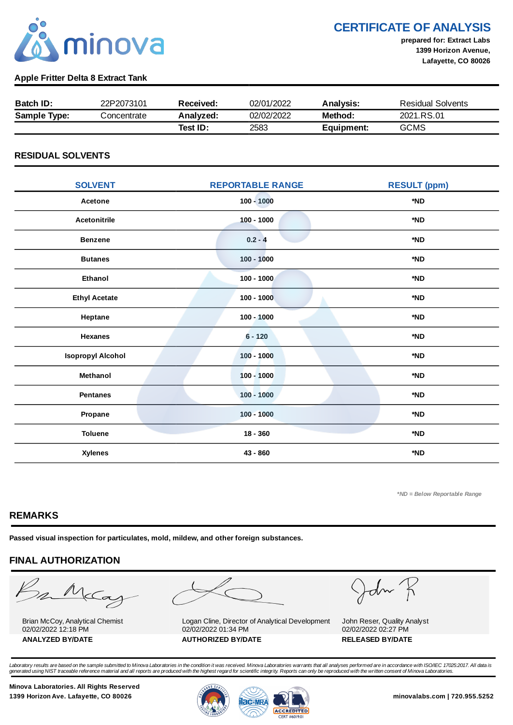

CERTIFICATE OF ANALYSIS

prepared for: Extract Labs 1399 Horizon Avenue, Lafayette, CO 80026

### Apple Fritter Delta 8 Extract Tank

| <b>Batch ID:</b>    | 22P2073101  | Received: | 02/01/2022 | Analysis:  | <b>Residual Solvents</b> |
|---------------------|-------------|-----------|------------|------------|--------------------------|
| <b>Sample Type:</b> | Concentrate | Analyzed: | 02/02/2022 | Method:    | 2021.RS.01               |
|                     |             | Test ID:  | 2583       | Equipment: | <b>GCMS</b>              |

## RESIDUAL SOLVENTS

| <b>SOLVENT</b>           | <b>REPORTABLE RANGE</b> | <b>RESULT (ppm)</b> |
|--------------------------|-------------------------|---------------------|
| Acetone                  | $100 - 1000$            | *ND                 |
| <b>Acetonitrile</b>      | $100 - 1000$            | *ND                 |
| <b>Benzene</b>           | $0.2 - 4$               | *ND                 |
| <b>Butanes</b>           | $100 - 1000$            | *ND                 |
| Ethanol                  | $100 - 1000$            | *ND                 |
| <b>Ethyl Acetate</b>     | $100 - 1000$            | *ND                 |
| Heptane                  | $100 - 1000$            | *ND                 |
| <b>Hexanes</b>           | $6 - 120$               | *ND                 |
| <b>Isopropyl Alcohol</b> | $100 - 1000$            | *ND                 |
| Methanol                 | $100 - 1000$            | *ND                 |
| <b>Pentanes</b>          | $100 - 1000$            | *ND                 |
| Propane                  | $100 - 1000$            | *ND                 |
| <b>Toluene</b>           | $18 - 360$              | *ND                 |
| <b>Xylenes</b>           | 43 - 860                | *ND                 |

\*ND = Below Reportable Range

# REMARKS

Passed visual inspection for particulates, mold, mildew, and other foreign substances.

# FINAL AUTHORIZATION

mMcCa

Brian McCoy, Analytical Chemist 02/02/2022 12:18 PM

Logan Cline, Director of Analytical Development 02/02/2022 01:34 PM ANALYZED BY/DATE AUTHORIZED BY/DATE AUTHORIZED BY/DATE

John

John Reser, Quality Analyst 02/02/2022 02:27 PM

Laboratory results are based on the sample submitted to Minova Laboratories in the condition it was received. Minova Laboratories warrants that all analyses performed are in accordance with ISO/IEC 17025:2017. All data is<br>

Minova Laboratories. All Rights Reserved